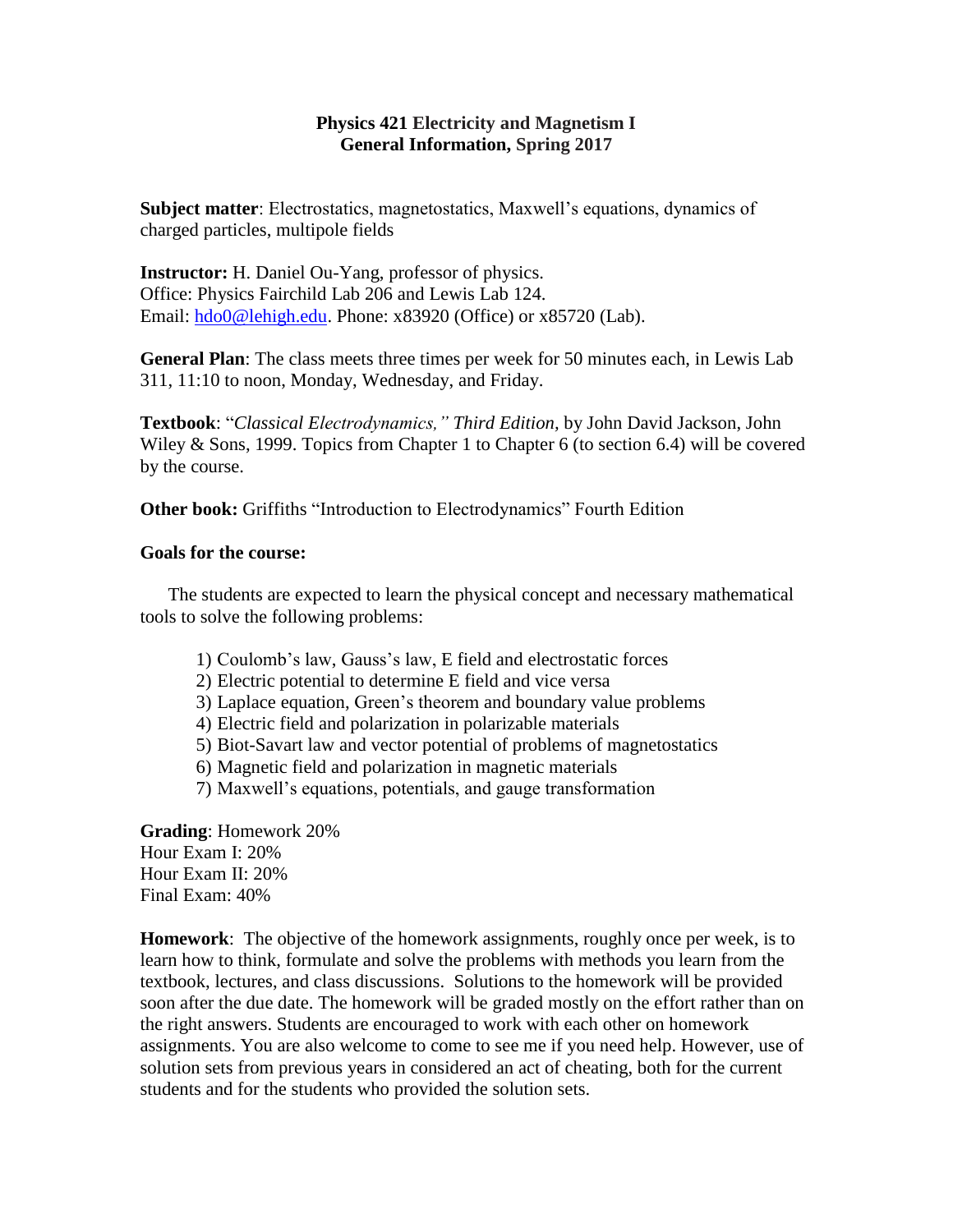## **Physics 421 Electricity and Magnetism I General Information, Spring 2017**

**Subject matter**: Electrostatics, magnetostatics, Maxwell's equations, dynamics of charged particles, multipole fields

**Instructor:** H. Daniel Ou-Yang, professor of physics. Office: Physics Fairchild Lab 206 and Lewis Lab 124. Email: [hdo0@lehigh.edu.](mailto:hdo0@lehigh.edu) Phone: x83920 (Office) or x85720 (Lab).

**General Plan**: The class meets three times per week for 50 minutes each, in Lewis Lab 311, 11:10 to noon, Monday, Wednesday, and Friday.

**Textbook**: "*Classical Electrodynamics," Third Edition,* by John David Jackson, John Wiley & Sons, 1999. Topics from Chapter 1 to Chapter 6 (to section 6.4) will be covered by the course.

**Other book:** Griffiths "Introduction to Electrodynamics" Fourth Edition

## **Goals for the course:**

The students are expected to learn the physical concept and necessary mathematical tools to solve the following problems:

- 1) Coulomb's law, Gauss's law, E field and electrostatic forces
- 2) Electric potential to determine E field and vice versa
- 3) Laplace equation, Green's theorem and boundary value problems
- 4) Electric field and polarization in polarizable materials
- 5) Biot-Savart law and vector potential of problems of magnetostatics
- 6) Magnetic field and polarization in magnetic materials
- 7) Maxwell's equations, potentials, and gauge transformation

**Grading**: Homework 20% Hour Exam I: 20% Hour Exam II: 20% Final Exam: 40%

**Homework**: The objective of the homework assignments, roughly once per week, is to learn how to think, formulate and solve the problems with methods you learn from the textbook, lectures, and class discussions. Solutions to the homework will be provided soon after the due date. The homework will be graded mostly on the effort rather than on the right answers. Students are encouraged to work with each other on homework assignments. You are also welcome to come to see me if you need help. However, use of solution sets from previous years in considered an act of cheating, both for the current students and for the students who provided the solution sets.